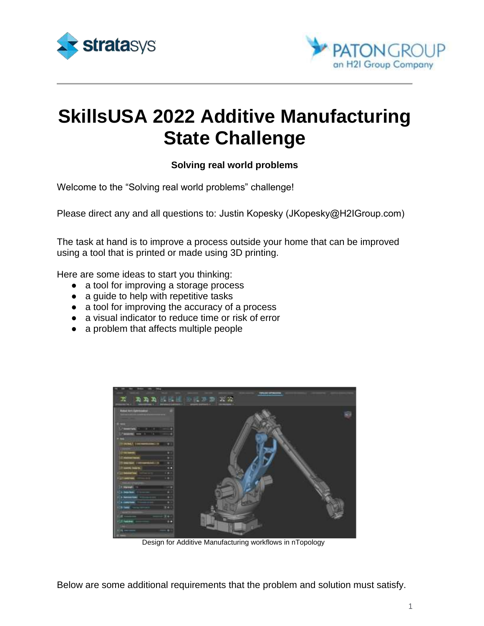



# **SkillsUSA 2022 Additive Manufacturing State Challenge**

## **Solving real world problems**

Welcome to the "Solving real world problems" challenge!

[Please direct any and all questio](mailto:canderson@skillsusaillinois.org)ns to: Justin Kopesky (JKopesky@H2IGroup.com)

The task at hand is to improve a process outside your home that can be improved using a tool that is printed or made using 3D printing.

Here are some ideas to start you thinking:

- a tool for improving a storage process
- a guide to help with repetitive tasks
- a tool for improving the accuracy of a process
- a visual indicator to reduce time or risk of error
- a problem that affects multiple people



Design for Additive Manufacturing workflows in nTopology

Below are some additional requirements that the problem and solution must satisfy.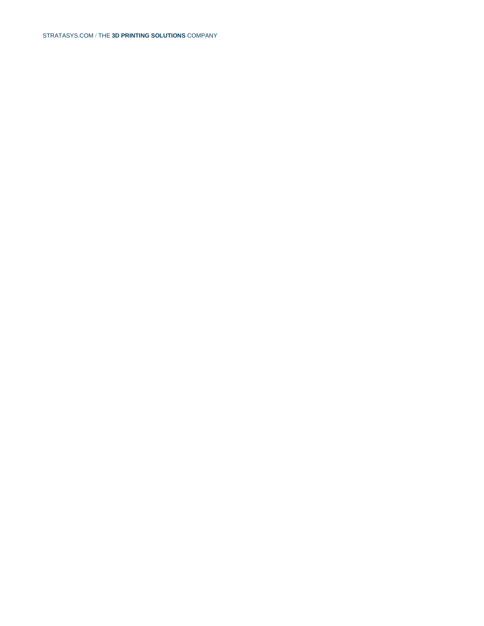STRATASYS.COM / THE **3D PRINTING SOLUTIONS** COMPANY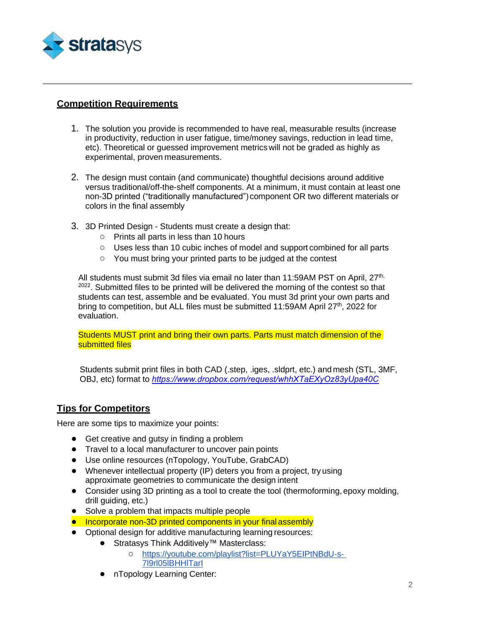

#### **Competition Requirements**

- 1. The solution you provide is recommended to have real, measurable results (increase in productivity, reduction in user fatigue, time/money savings, reduction in lead time, etc). Theoretical or guessed improvement metricswill not be graded as highly as experimental, proven measurements.
- 2. The design must contain (and communicate) thoughtful decisions around additive versus traditional/off-the-shelf components. At a minimum, it must contain at least one non-3D printed ("traditionally manufactured") component OR two different materials or colors in the final assembly
- 3. 3D Printed Design Students must create a design that:
	- Prints all parts in less than 10 hours
	- Uses less than 10 cubic inches of model and support combined for all parts
	- You must bring your printed parts to be judged at the contest

All students must submit 3d files via email no later than 11:59AM PST on April, 27<sup>th,</sup> <sup>2022</sup>. Submitted files to be printed will be delivered the morning of the contest so that students can test, assemble and be evaluated. You must 3d print your own parts and bring to competition, but ALL files must be submitted 11:59AM April 27<sup>th</sup>, 2022 for evaluation.

Students MUST print and bring their own parts. Parts must match dimension of the submitted files

Students submit print files in both CAD (.step, .iges, .sldprt, etc.) and mesh (STL, 3MF, OBJ, etc) format to *<https://www.dropbox.com/request/whhXTaEXyOz83yUpa40C>*

#### **Tips for Competitors**

Here are some tips to maximize your points:

- Get creative and gutsy in finding a problem
- Travel to a local manufacturer to uncover pain points
- Use online resources (nTopology, YouTube, GrabCAD)
- Whenever intellectual property (IP) deters you from a project, try using approximate geometries to communicate the design intent
- Consider using 3D printing as a tool to create the tool (thermoforming, epoxy molding, drill guiding, etc.)
- Solve a problem that impacts multiple people
- Incorporate non-3D printed components in your final assembly
- Optional design for additive manufacturing learning resources:
	- Stratasys Think Additively™ Masterclass:
		- [https://youtube.com/playlist?list=PLUYaY5EIPtNBdU-s-](https://youtube.com/playlist?list=PLUYaY5EIPtNBdU-s-7l9rl05lBHHlTarI)[7l9rl05lBHHlTarI](https://youtube.com/playlist?list=PLUYaY5EIPtNBdU-s-7l9rl05lBHHlTarI)
		- nTopology Learning Center: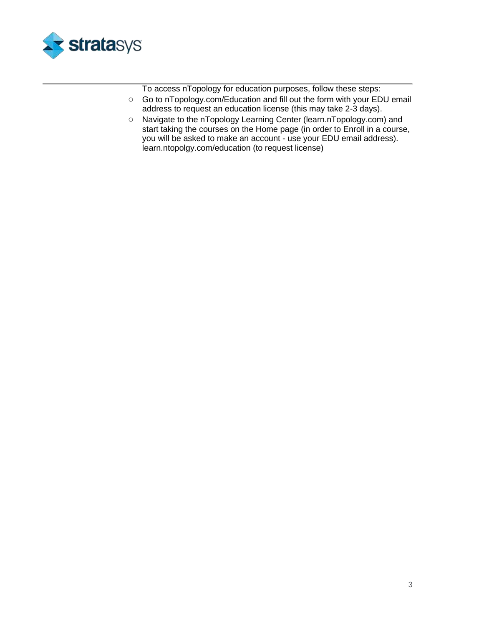

To access nTopology for education purposes, follow these steps:

- Go to nTopology.com/Education and fill out the form with your EDU email address to request an education license (this may take 2-3 days).
- Navigate to the nTopology Learning Center (learn.nTopology.com) and start taking the courses on the Home page (in order to Enroll in a course, you will be asked to make an account - use your EDU email address). learn.ntopolgy.com/education (to request license)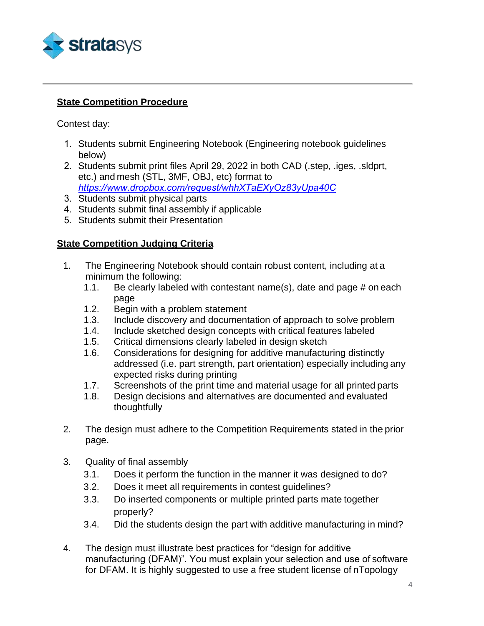

# **State Competition Procedure**

Contest day:

- 1. Students submit Engineering Notebook (Engineering notebook guidelines below)
- 2. Students submit print files April 29, 2022 in both CAD (.step, .iges, .sldprt, etc.) and mesh (STL, 3MF, OBJ, etc) format to *<https://www.dropbox.com/request/whhXTaEXyOz83yUpa40C>*
- 3. Students submit physical parts
- 4. Students submit final assembly if applicable
- 5. Students submit their Presentation

## **State Competition Judging Criteria**

- 1. The Engineering Notebook should contain robust content, including at a minimum the following:
	- 1.1. Be clearly labeled with contestant name(s), date and page # on each page
	- 1.2. Begin with a problem statement
	- 1.3. Include discovery and documentation of approach to solve problem
	- 1.4. Include sketched design concepts with critical features labeled
	- 1.5. Critical dimensions clearly labeled in design sketch
	- 1.6. Considerations for designing for additive manufacturing distinctly addressed (i.e. part strength, part orientation) especially including any expected risks during printing
	- 1.7. Screenshots of the print time and material usage for all printed parts
	- 1.8. Design decisions and alternatives are documented and evaluated thoughtfully
- 2. The design must adhere to the Competition Requirements stated in the prior page.
- 3. Quality of final assembly
	- 3.1. Does it perform the function in the manner it was designed to do?
	- 3.2. Does it meet all requirements in contest guidelines?
	- 3.3. Do inserted components or multiple printed parts mate together properly?
	- 3.4. Did the students design the part with additive manufacturing in mind?
- 4. The design must illustrate best practices for "design for additive manufacturing (DFAM)". You must explain your selection and use of software for DFAM. It is highly suggested to use a free student license of nTopology